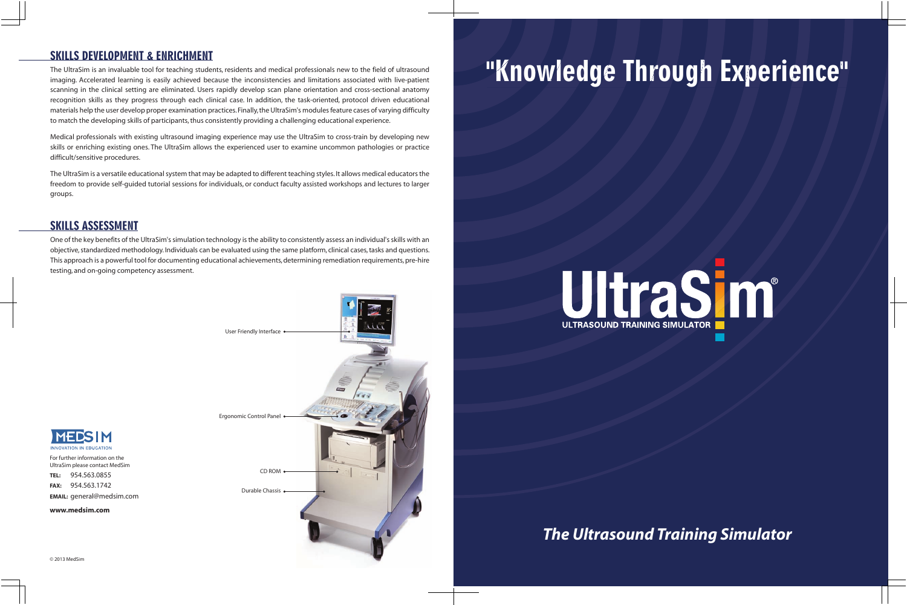*The Ultrasound Training Simulator*

The UltraSim is an invaluable tool for teaching students, residents and medical professionals new to the field of ultrasound imaging. Accelerated learning is easily achieved because the inconsistencies and limitations associated with live-patient scanning in the clinical setting are eliminated. Users rapidly develop scan plane orientation and cross-sectional anatomy recognition skills as they progress through each clinical case. In addition, the task-oriented, protocol driven educational materials help the user develop proper examination practices. Finally, the UltraSim's modules feature cases of varying difficulty to match the developing skills of participants, thus consistently providing a challenging educational experience.

MEDSIM

Medical professionals with existing ultrasound imaging experience may use the UltraSim to cross-train by developing new skills or enriching existing ones. The UltraSim allows the experienced user to examine uncommon pathologies or practice difficult/sensitive procedures.

The UltraSim is a versatile educational system that may be adapted to different teaching styles. It allows medical educators the freedom to provide self-guided tutorial sessions for individuals, or conduct faculty assisted workshops and lectures to larger groups.

# SKILLS ASSESSMENT

One of the key benefits of the UltraSim's simulation technology is the ability to consistently assess an individual's skills with an objective, standardized methodology. Individuals can be evaluated using the same platform, clinical cases, tasks and questions. This approach is a powerful tool for documenting educational achievements, determining remediation requirements, pre-hire testing, and on-going competency assessment.



# SKILLS DEVELOPMENT & ENRICHMENT<br>The UltraSim is an invaluable tool for teaching students, residents and medical professionals new to the field of ultrasound<br>imaging. Accelerated learning is easily achieved because the inco



UltraSim please contact MedSim **TEL:** 954.563.0855 **FAX:** 954.563.1742

**EMAIL:** general@medsim.com

**www.medsim.com**